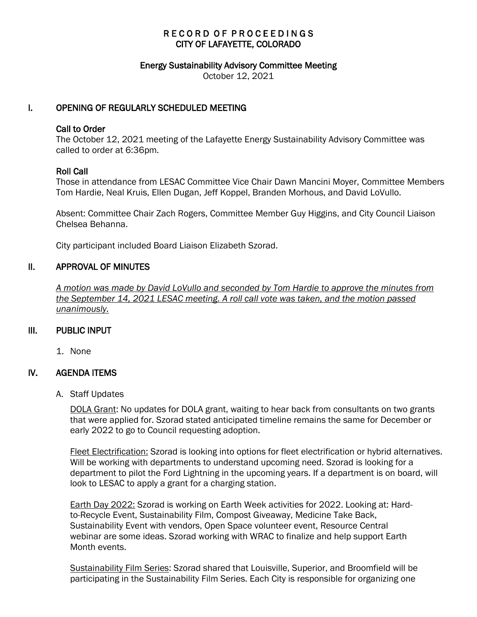# RECORD OF PROCEEDINGS CITY OF LAFAYETTE, COLORADO

#### Energy Sustainability Advisory Committee Meeting

October 12, 2021

# I. OPENING OF REGULARLY SCHEDULED MEETING

#### Call to Order

The October 12, 2021 meeting of the Lafayette Energy Sustainability Advisory Committee was called to order at 6:36pm.

### Roll Call

Those in attendance from LESAC Committee Vice Chair Dawn Mancini Moyer, Committee Members Tom Hardie, Neal Kruis, Ellen Dugan, Jeff Koppel, Branden Morhous, and David LoVullo.

Absent: Committee Chair Zach Rogers, Committee Member Guy Higgins, and City Council Liaison Chelsea Behanna.

City participant included Board Liaison Elizabeth Szorad.

### II. APPROVAL OF MINUTES

 *A motion was made by David LoVullo and seconded by Tom Hardie to approve the minutes from the September 14, 2021 LESAC meeting. A roll call vote was taken, and the motion passed unanimously.*

### III. PUBLIC INPUT

1. None

### IV. AGENDA ITEMS

A. Staff Updates

DOLA Grant: No updates for DOLA grant, waiting to hear back from consultants on two grants that were applied for. Szorad stated anticipated timeline remains the same for December or early 2022 to go to Council requesting adoption.

Fleet Electrification: Szorad is looking into options for fleet electrification or hybrid alternatives. Will be working with departments to understand upcoming need. Szorad is looking for a department to pilot the Ford Lightning in the upcoming years. If a department is on board, will look to LESAC to apply a grant for a charging station.

Earth Day 2022: Szorad is working on Earth Week activities for 2022. Looking at: Hardto-Recycle Event, Sustainability Film, Compost Giveaway, Medicine Take Back, Sustainability Event with vendors, Open Space volunteer event, Resource Central webinar are some ideas. Szorad working with WRAC to finalize and help support Earth Month events.

Sustainability Film Series: Szorad shared that Louisville, Superior, and Broomfield will be participating in the Sustainability Film Series. Each City is responsible for organizing one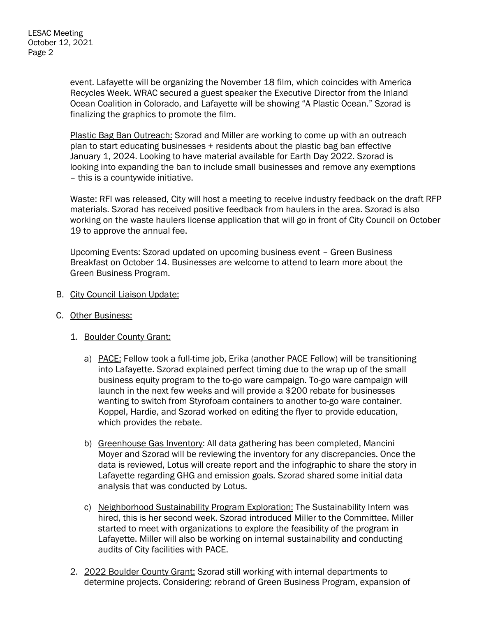event. Lafayette will be organizing the November 18 film, which coincides with America Recycles Week. WRAC secured a guest speaker the Executive Director from the Inland Ocean Coalition in Colorado, and Lafayette will be showing "A Plastic Ocean." Szorad is finalizing the graphics to promote the film.

Plastic Bag Ban Outreach: Szorad and Miller are working to come up with an outreach plan to start educating businesses + residents about the plastic bag ban effective January 1, 2024. Looking to have material available for Earth Day 2022. Szorad is looking into expanding the ban to include small businesses and remove any exemptions – this is a countywide initiative.

Waste: RFI was released, City will host a meeting to receive industry feedback on the draft RFP materials. Szorad has received positive feedback from haulers in the area. Szorad is also working on the waste haulers license application that will go in front of City Council on October 19 to approve the annual fee.

Upcoming Events: Szorad updated on upcoming business event – Green Business Breakfast on October 14. Businesses are welcome to attend to learn more about the Green Business Program.

- B. City Council Liaison Update:
- C. Other Business:
	- 1. Boulder County Grant:
		- a) PACE: Fellow took a full-time job, Erika (another PACE Fellow) will be transitioning into Lafayette. Szorad explained perfect timing due to the wrap up of the small business equity program to the to-go ware campaign. To-go ware campaign will launch in the next few weeks and will provide a \$200 rebate for businesses wanting to switch from Styrofoam containers to another to-go ware container. Koppel, Hardie, and Szorad worked on editing the flyer to provide education, which provides the rebate.
		- b) Greenhouse Gas Inventory: All data gathering has been completed, Mancini Moyer and Szorad will be reviewing the inventory for any discrepancies. Once the data is reviewed, Lotus will create report and the infographic to share the story in Lafayette regarding GHG and emission goals. Szorad shared some initial data analysis that was conducted by Lotus.
		- c) Neighborhood Sustainability Program Exploration: The Sustainability Intern was hired, this is her second week. Szorad introduced Miller to the Committee. Miller started to meet with organizations to explore the feasibility of the program in Lafayette. Miller will also be working on internal sustainability and conducting audits of City facilities with PACE.
	- 2. 2022 Boulder County Grant: Szorad still working with internal departments to determine projects. Considering: rebrand of Green Business Program, expansion of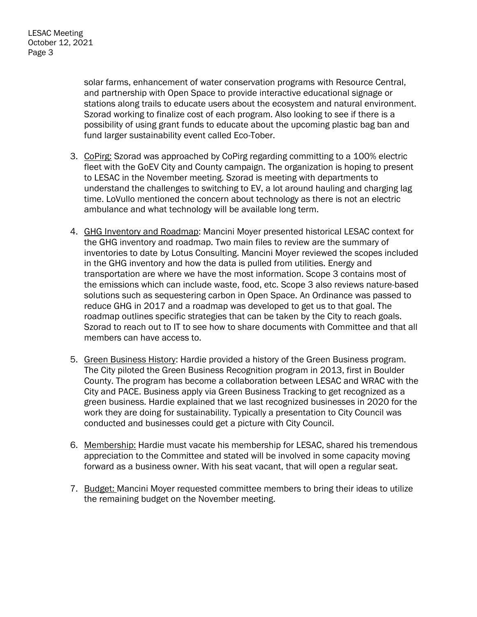solar farms, enhancement of water conservation programs with Resource Central, and partnership with Open Space to provide interactive educational signage or stations along trails to educate users about the ecosystem and natural environment. Szorad working to finalize cost of each program. Also looking to see if there is a possibility of using grant funds to educate about the upcoming plastic bag ban and fund larger sustainability event called Eco-Tober.

- 3. CoPirg: Szorad was approached by CoPirg regarding committing to a 100% electric fleet with the GoEV City and County campaign. The organization is hoping to present to LESAC in the November meeting. Szorad is meeting with departments to understand the challenges to switching to EV, a lot around hauling and charging lag time. LoVullo mentioned the concern about technology as there is not an electric ambulance and what technology will be available long term.
- 4. GHG Inventory and Roadmap: Mancini Moyer presented historical LESAC context for the GHG inventory and roadmap. Two main files to review are the summary of inventories to date by Lotus Consulting. Mancini Moyer reviewed the scopes included in the GHG inventory and how the data is pulled from utilities. Energy and transportation are where we have the most information. Scope 3 contains most of the emissions which can include waste, food, etc. Scope 3 also reviews nature-based solutions such as sequestering carbon in Open Space. An Ordinance was passed to reduce GHG in 2017 and a roadmap was developed to get us to that goal. The roadmap outlines specific strategies that can be taken by the City to reach goals. Szorad to reach out to IT to see how to share documents with Committee and that all members can have access to.
- 5. Green Business History: Hardie provided a history of the Green Business program. The City piloted the Green Business Recognition program in 2013, first in Boulder County. The program has become a collaboration between LESAC and WRAC with the City and PACE. Business apply via Green Business Tracking to get recognized as a green business. Hardie explained that we last recognized businesses in 2020 for the work they are doing for sustainability. Typically a presentation to City Council was conducted and businesses could get a picture with City Council.
- 6. Membership: Hardie must vacate his membership for LESAC, shared his tremendous appreciation to the Committee and stated will be involved in some capacity moving forward as a business owner. With his seat vacant, that will open a regular seat.
- 7. Budget: Mancini Moyer requested committee members to bring their ideas to utilize the remaining budget on the November meeting.